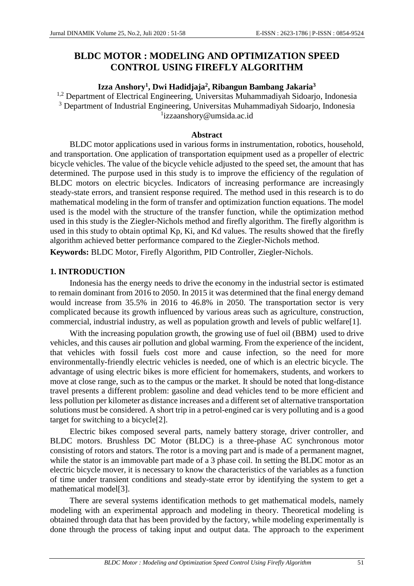# **BLDC MOTOR : MODELING AND OPTIMIZATION SPEED CONTROL USING FIREFLY ALGORITHM**

# **Izza Anshory<sup>1</sup> , Dwi Hadidjaja<sup>2</sup> , Ribangun Bambang Jakaria<sup>3</sup>**

<sup>1,2</sup> Department of Electrical Engineering, Universitas Muhammadiyah Sidoarjo, Indonesia <sup>3</sup> Department of Industrial Engineering, Universitas Muhammadiyah Sidoarjo, Indonesia 1 izzaanshory@umsida.ac.id

#### **Abstract**

BLDC motor applications used in various forms in instrumentation, robotics, household, and transportation. One application of transportation equipment used as a propeller of electric bicycle vehicles. The value of the bicycle vehicle adjusted to the speed set, the amount that has determined. The purpose used in this study is to improve the efficiency of the regulation of BLDC motors on electric bicycles. Indicators of increasing performance are increasingly steady-state errors, and transient response required. The method used in this research is to do mathematical modeling in the form of transfer and optimization function equations. The model used is the model with the structure of the transfer function, while the optimization method used in this study is the Ziegler-Nichols method and firefly algorithm. The firefly algorithm is used in this study to obtain optimal Kp, Ki, and Kd values. The results showed that the firefly algorithm achieved better performance compared to the Ziegler-Nichols method.

**Keywords:** BLDC Motor, Firefly Algorithm, PID Controller, Ziegler-Nichols.

# **1. INTRODUCTION**

Indonesia has the energy needs to drive the economy in the industrial sector is estimated to remain dominant from 2016 to 2050. In 2015 it was determined that the final energy demand would increase from 35.5% in 2016 to 46.8% in 2050. The transportation sector is very complicated because its growth influenced by various areas such as agriculture, construction, commercial, industrial industry, as well as population growth and levels of public welfare[1].

With the increasing population growth, the growing use of fuel oil (BBM) used to drive vehicles, and this causes air pollution and global warming. From the experience of the incident, that vehicles with fossil fuels cost more and cause infection, so the need for more environmentally-friendly electric vehicles is needed, one of which is an electric bicycle. The advantage of using electric bikes is more efficient for homemakers, students, and workers to move at close range, such as to the campus or the market. It should be noted that long-distance travel presents a different problem: gasoline and dead vehicles tend to be more efficient and less pollution per kilometer as distance increases and a different set of alternative transportation solutions must be considered. A short trip in a petrol-engined car is very polluting and is a good target for switching to a bicycle[2].

Electric bikes composed several parts, namely battery storage, driver controller, and BLDC motors. Brushless DC Motor (BLDC) is a three-phase AC synchronous motor consisting of rotors and stators. The rotor is a moving part and is made of a permanent magnet, while the stator is an immovable part made of a 3 phase coil. In setting the BLDC motor as an electric bicycle mover, it is necessary to know the characteristics of the variables as a function of time under transient conditions and steady-state error by identifying the system to get a mathematical model[3].

There are several systems identification methods to get mathematical models, namely modeling with an experimental approach and modeling in theory. Theoretical modeling is obtained through data that has been provided by the factory, while modeling experimentally is done through the process of taking input and output data. The approach to the experiment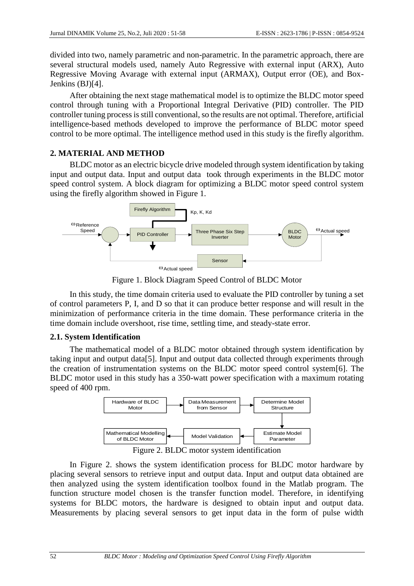divided into two, namely parametric and non-parametric. In the parametric approach, there are several structural models used, namely Auto Regressive with external input (ARX), Auto Regressive Moving Avarage with external input (ARMAX), Output error (OE), and Box-Jenkins (BJ)[4].

After obtaining the next stage mathematical model is to optimize the BLDC motor speed control through tuning with a Proportional Integral Derivative (PID) controller. The PID controller tuning process is still conventional, so the results are not optimal. Therefore, artificial intelligence-based methods developed to improve the performance of BLDC motor speed control to be more optimal. The intelligence method used in this study is the firefly algorithm.

# **2. MATERIAL AND METHOD**

BLDC motor as an electric bicycle drive modeled through system identification by taking input and output data. Input and output data took through experiments in the BLDC motor speed control system. A block diagram for optimizing a BLDC motor speed control system using the firefly algorithm showed in Figure 1.



Figure 1. Block Diagram Speed Control of BLDC Motor

In this study, the time domain criteria used to evaluate the PID controller by tuning a set of control parameters P, I, and D so that it can produce better response and will result in the minimization of performance criteria in the time domain. These performance criteria in the time domain include overshoot, rise time, settling time, and steady-state error.

# **2.1. System Identification**

The mathematical model of a BLDC motor obtained through system identification by taking input and output data[5]. Input and output data collected through experiments through the creation of instrumentation systems on the BLDC motor speed control system[6]. The BLDC motor used in this study has a 350-watt power specification with a maximum rotating speed of 400 rpm.



In Figure 2. shows the system identification process for BLDC motor hardware by placing several sensors to retrieve input and output data. Input and output data obtained are then analyzed using the system identification toolbox found in the Matlab program. The function structure model chosen is the transfer function model. Therefore, in identifying systems for BLDC motors, the hardware is designed to obtain input and output data. Measurements by placing several sensors to get input data in the form of pulse width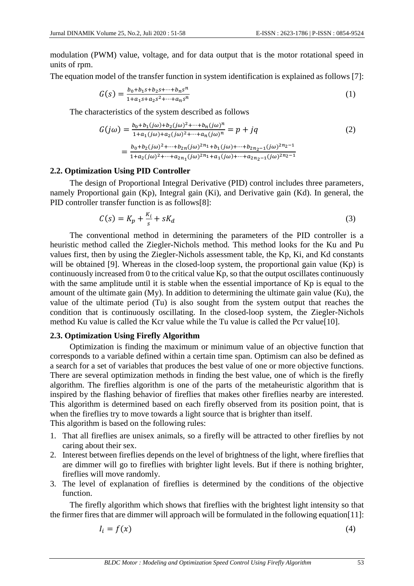modulation (PWM) value, voltage, and for data output that is the motor rotational speed in units of rpm.

The equation model of the transfer function in system identification is explained as follows [7]:

$$
G(s) = \frac{b_0 + b_1 s + b_2 s + \dots + b_n s^n}{1 + a_1 s + a_2 s^2 + \dots + a_n s^n}
$$
 (1)

The characteristics of the system described as follows

$$
G(j\omega) = \frac{b_0 + b_1(j\omega) + b_2(j\omega)^2 + \dots + b_n(j\omega)^n}{1 + a_1(j\omega) + a_2(j\omega)^2 + \dots + a_n(j\omega)^n} = p + jq
$$
  
= 
$$
\frac{b_0 + b_2(j\omega)^2 + \dots + b_{2n}(j\omega)^{2n_1} + b_1(j\omega) + \dots + b_{2n_2 - 1}(j\omega)^{2n_2 - 1}}{1 + a_2(j\omega)^2 + \dots + a_{2n_1}(j\omega)^{2n_1} + a_1(j\omega) + \dots + a_{2n_2 - 1}(j\omega)^{2n_2 - 1}}
$$
 (2)

### **2.2. Optimization Using PID Controller**

The design of Proportional Integral Derivative (PID) control includes three parameters, namely Proportional gain (Kp), Integral gain (Ki), and Derivative gain (Kd). In general, the PID controller transfer function is as follows[8]:

$$
C(s) = K_p + \frac{K_i}{s} + sK_d
$$
\n<sup>(3)</sup>

The conventional method in determining the parameters of the PID controller is a heuristic method called the Ziegler-Nichols method. This method looks for the Ku and Pu values first, then by using the Ziegler-Nichols assessment table, the Kp, Ki, and Kd constants will be obtained [9]. Whereas in the closed-loop system, the proportional gain value (Kp) is continuously increased from 0 to the critical value Kp, so that the output oscillates continuously with the same amplitude until it is stable when the essential importance of Kp is equal to the amount of the ultimate gain (My). In addition to determining the ultimate gain value (Ku), the value of the ultimate period (Tu) is also sought from the system output that reaches the condition that is continuously oscillating. In the closed-loop system, the Ziegler-Nichols method Ku value is called the Kcr value while the Tu value is called the Pcr value[10].

# **2.3. Optimization Using Firefly Algorithm**

Optimization is finding the maximum or minimum value of an objective function that corresponds to a variable defined within a certain time span. Optimism can also be defined as a search for a set of variables that produces the best value of one or more objective functions. There are several optimization methods in finding the best value, one of which is the firefly algorithm. The fireflies algorithm is one of the parts of the metaheuristic algorithm that is inspired by the flashing behavior of fireflies that makes other fireflies nearby are interested. This algorithm is determined based on each firefly observed from its position point, that is when the fireflies try to move towards a light source that is brighter than itself. This algorithm is based on the following rules:

- 1. That all fireflies are unisex animals, so a firefly will be attracted to other fireflies by not caring about their sex.
- 2. Interest between fireflies depends on the level of brightness of the light, where fireflies that are dimmer will go to fireflies with brighter light levels. But if there is nothing brighter, fireflies will move randomly.
- 3. The level of explanation of fireflies is determined by the conditions of the objective function.

The firefly algorithm which shows that fireflies with the brightest light intensity so that the firmer fires that are dimmer will approach will be formulated in the following equation[11]:

$$
I_i = f(x) \tag{4}
$$

*BLDC Motor : Modeling and Optimization Speed Control Using Firefly Algorithm* 53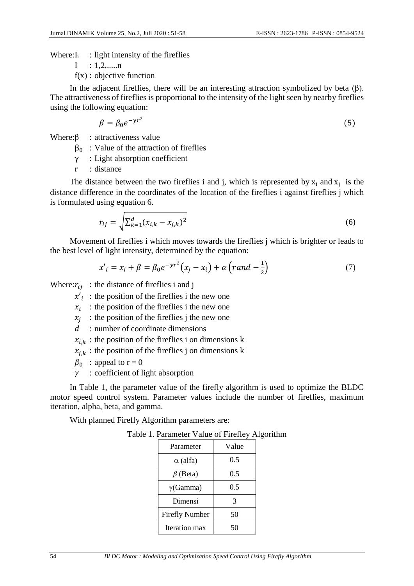Where: $I_i$ : light intensity of the fireflies

 $I : 1, 2, \ldots, n$ 

 $f(x)$ : objective function

In the adjacent fireflies, there will be an interesting attraction symbolized by beta  $(β)$ . The attractiveness of fireflies is proportional to the intensity of the light seen by nearby fireflies using the following equation:

$$
\beta = \beta_0 e^{-\gamma r^2} \tag{5}
$$

Where: $\beta$  : attractiveness value

 $β<sub>0</sub>$ : Value of the attraction of fireflies

γ : Light absorption coefficient

r : distance

The distance between the two fireflies i and j, which is represented by  $x_i$  and  $x_j$  is the distance difference in the coordinates of the location of the fireflies i against fireflies j which is formulated using equation 6.

$$
r_{ij} = \sqrt{\sum_{k=1}^{d} (x_{i,k} - x_{j,k})^2}
$$
 (6)

Movement of fireflies i which moves towards the fireflies j which is brighter or leads to the best level of light intensity, determined by the equation:

$$
x'_{i} = x_{i} + \beta = \beta_{0} e^{-\gamma r^{2}} (x_{j} - x_{i}) + \alpha (rand - \frac{1}{2})
$$
\n(7)

Where:  $r_{ij}$ : the distance of fireflies i and j

 $x'_i$ : the position of the fireflies i the new one

 $x_i$ : the position of the fireflies i the new one

 $x_j$ : the position of the fireflies j the new one

d : number of coordinate dimensions

 $x_{i,k}$ : the position of the fireflies i on dimensions k

 $x_{j,k}$ : the position of the fireflies j on dimensions k

 $\beta_0$ : appeal to r = 0

 $\gamma$ : coefficient of light absorption

In Table 1, the parameter value of the firefly algorithm is used to optimize the BLDC motor speed control system. Parameter values include the number of fireflies, maximum iteration, alpha, beta, and gamma.

With planned Firefly Algorithm parameters are:

| Parameter             | Value |  |
|-----------------------|-------|--|
| $\alpha$ (alfa)       | 0.5   |  |
| $\beta$ (Beta)        | 0.5   |  |
| $\gamma$ (Gamma)      | 0.5   |  |
| Dimensi               | 3     |  |
| <b>Firefly Number</b> | 50    |  |
| Iteration max         |       |  |

| Table 1. Parameter Value of Firefley Algorithm |  |
|------------------------------------------------|--|
|------------------------------------------------|--|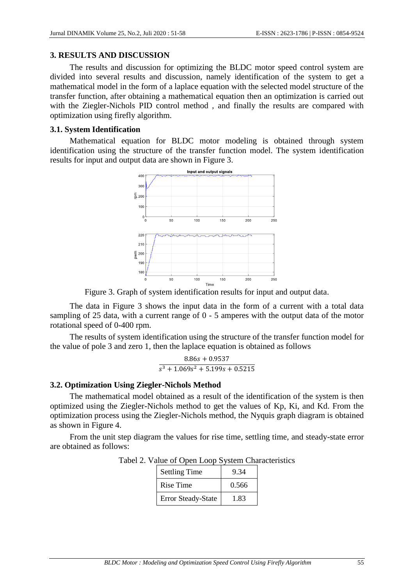#### **3. RESULTS AND DISCUSSION**

The results and discussion for optimizing the BLDC motor speed control system are divided into several results and discussion, namely identification of the system to get a mathematical model in the form of a laplace equation with the selected model structure of the transfer function, after obtaining a mathematical equation then an optimization is carried out with the Ziegler-Nichols PID control method , and finally the results are compared with optimization using firefly algorithm.

#### **3.1. System Identification**

Mathematical equation for BLDC motor modeling is obtained through system identification using the structure of the transfer function model. The system identification results for input and output data are shown in Figure 3.



Figure 3. Graph of system identification results for input and output data.

The data in Figure 3 shows the input data in the form of a current with a total data sampling of 25 data, with a current range of 0 - 5 amperes with the output data of the motor rotational speed of 0-400 rpm.

The results of system identification using the structure of the transfer function model for the value of pole 3 and zero 1, then the laplace equation is obtained as follows

$$
\frac{8.86s + 0.9537}{s^3 + 1.069s^2 + 5.199s + 0.5215}
$$

# **3.2. Optimization Using Ziegler-Nichols Method**

The mathematical model obtained as a result of the identification of the system is then optimized using the Ziegler-Nichols method to get the values of Kp, Ki, and Kd. From the optimization process using the Ziegler-Nichols method, the Nyquis graph diagram is obtained as shown in Figure 4.

From the unit step diagram the values for rise time, settling time, and steady-state error are obtained as follows:

| <b>Settling Time</b>      | 9 34  |
|---------------------------|-------|
| Rise Time                 | 0.566 |
| <b>Error Steady-State</b> | 1.83  |

Tabel 2. Value of Open Loop System Characteristics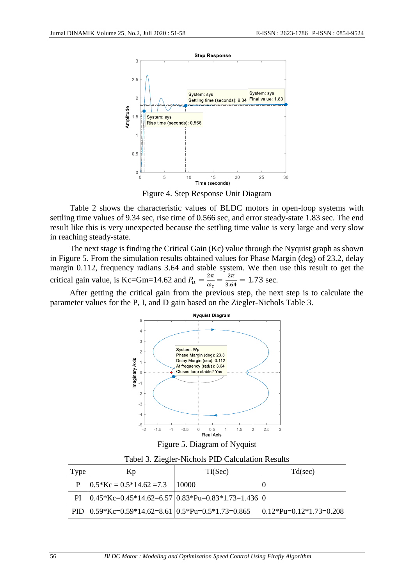

Figure 4. Step Response Unit Diagram

Table 2 shows the characteristic values of BLDC motors in open-loop systems with settling time values of 9.34 sec, rise time of 0.566 sec, and error steady-state 1.83 sec. The end result like this is very unexpected because the settling time value is very large and very slow in reaching steady-state.

The next stage is finding the Critical Gain (Kc) value through the Nyquist graph as shown in Figure 5. From the simulation results obtained values for Phase Margin (deg) of 23.2, delay margin 0.112, frequency radians 3.64 and stable system. We then use this result to get the critical gain value, is Kc=Gm=14.62 and  $P_u = \frac{2\pi}{\omega}$  $\frac{2\pi}{\omega_c} = \frac{2\pi}{3.64}$  $\frac{2\pi}{3.64}$  = 1.73 sec.

After getting the critical gain from the previous step, the next step is to calculate the parameter values for the P, I, and D gain based on the Ziegler-Nichols Table 3.



Figure 5. Diagram of Nyquist

Tabel 3. Ziegler-Nichols PID Calculation Results

| Type | Kp                                                                | Ti(Sec) | Td(sec)                     |
|------|-------------------------------------------------------------------|---------|-----------------------------|
|      | $10.5*Kc = 0.5*14.62 = 7.3$  10000                                |         |                             |
| PI   | $(0.45 * Kc=0.45 * 14.62=6.57)$ $(0.83 * Pu=0.83 * 1.73=1.436)$ 0 |         |                             |
|      | PID $(0.59 * Kc=0.59 * 14.62=8.61)$ $(0.5 * Pu=0.5 * 1.73=0.865)$ |         | $ 0.12*Pu=0.12*1.73=0.208 $ |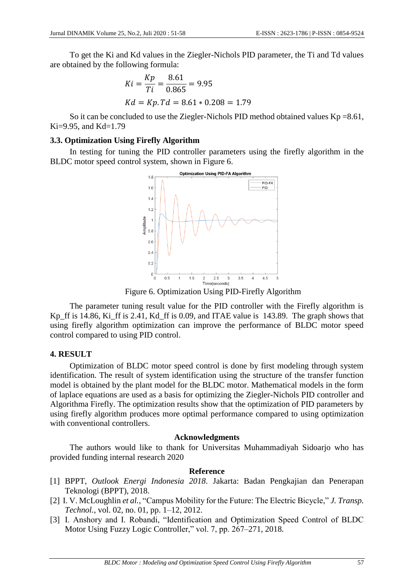To get the Ki and Kd values in the Ziegler-Nichols PID parameter, the Ti and Td values are obtained by the following formula:

$$
Ki = \frac{Kp}{Ti} = \frac{8.61}{0.865} = 9.95
$$
  

$$
Kd = Kp. Td = 8.61 * 0.208 = 1.79
$$

So it can be concluded to use the Ziegler-Nichols PID method obtained values  $Kp = 8.61$ ,  $Ki=9.95$ , and  $Kd=1.79$ 

#### **3.3. Optimization Using Firefly Algorithm**

In testing for tuning the PID controller parameters using the firefly algorithm in the BLDC motor speed control system, shown in Figure 6.



Figure 6. Optimization Using PID-Firefly Algorithm

The parameter tuning result value for the PID controller with the Firefly algorithm is Kp\_ff is 14.86, Ki\_ff is 2.41, Kd\_ff is 0.09, and ITAE value is 143.89. The graph shows that using firefly algorithm optimization can improve the performance of BLDC motor speed control compared to using PID control.

#### **4. RESULT**

Optimization of BLDC motor speed control is done by first modeling through system identification. The result of system identification using the structure of the transfer function model is obtained by the plant model for the BLDC motor. Mathematical models in the form of laplace equations are used as a basis for optimizing the Ziegler-Nichols PID controller and Algorithma Firefly. The optimization results show that the optimization of PID parameters by using firefly algorithm produces more optimal performance compared to using optimization with conventional controllers.

#### **Acknowledgments**

The authors would like to thank for Universitas Muhammadiyah Sidoarjo who has provided funding internal research 2020

#### **Reference**

- [1] BPPT, *Outlook Energi Indonesia 2018*. Jakarta: Badan Pengkajian dan Penerapan Teknologi (BPPT), 2018.
- [2] I. V. McLoughlin *et al.*, "Campus Mobility for the Future: The Electric Bicycle," *J. Transp. Technol.*, vol. 02, no. 01, pp. 1–12, 2012.
- [3] I. Anshory and I. Robandi, "Identification and Optimization Speed Control of BLDC Motor Using Fuzzy Logic Controller," vol. 7, pp. 267–271, 2018.